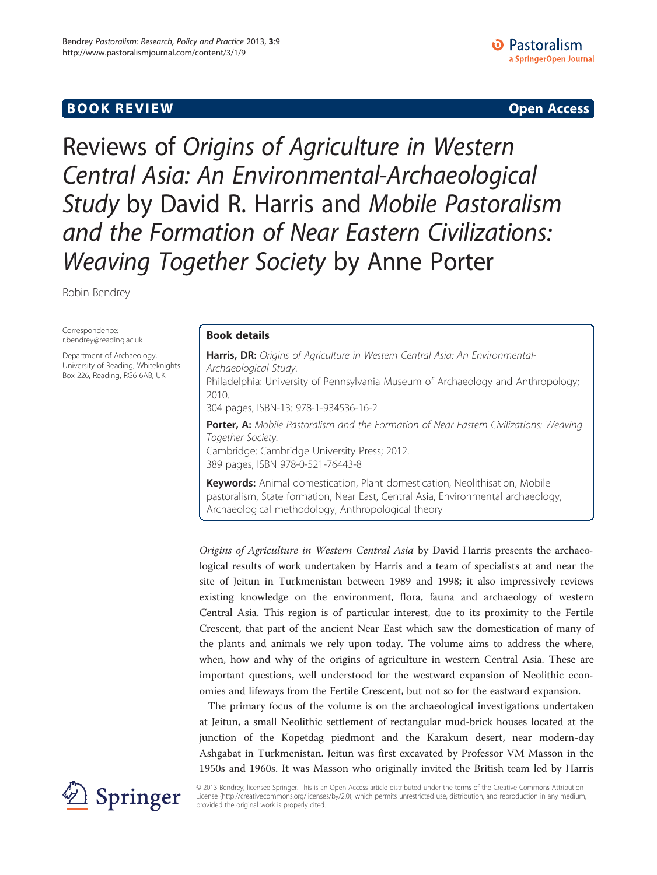# **BOOK REVIEW CONTROL** BOOK REVIEW

Reviews of Origins of Agriculture in Western Central Asia: An Environmental-Archaeological Study by David R. Harris and Mobile Pastoralism and the Formation of Near Eastern Civilizations: Weaving Together Society by Anne Porter

Robin Bendrey

Correspondence: [r.bendrey@reading.ac.uk](mailto:r.bendrey@reading.ac.uk)

Department of Archaeology, University of Reading, Whiteknights Box 226, Reading, RG6 6AB, UK

# Book details

Harris, DR: Origins of Agriculture in Western Central Asia: An Environmental-Archaeological Study.

Philadelphia: University of Pennsylvania Museum of Archaeology and Anthropology; 2010.

304 pages, ISBN-13: 978-1-934536-16-2

Porter, A: Mobile Pastoralism and the Formation of Near Eastern Civilizations: Weaving Together Society.

Cambridge: Cambridge University Press; 2012. 389 pages, ISBN 978-0-521-76443-8

Keywords: Animal domestication, Plant domestication, Neolithisation, Mobile pastoralism, State formation, Near East, Central Asia, Environmental archaeology, Archaeological methodology, Anthropological theory

Origins of Agriculture in Western Central Asia by David Harris presents the archaeological results of work undertaken by Harris and a team of specialists at and near the site of Jeitun in Turkmenistan between 1989 and 1998; it also impressively reviews existing knowledge on the environment, flora, fauna and archaeology of western Central Asia. This region is of particular interest, due to its proximity to the Fertile Crescent, that part of the ancient Near East which saw the domestication of many of the plants and animals we rely upon today. The volume aims to address the where, when, how and why of the origins of agriculture in western Central Asia. These are important questions, well understood for the westward expansion of Neolithic economies and lifeways from the Fertile Crescent, but not so for the eastward expansion.

The primary focus of the volume is on the archaeological investigations undertaken at Jeitun, a small Neolithic settlement of rectangular mud-brick houses located at the junction of the Kopetdag piedmont and the Karakum desert, near modern-day Ashgabat in Turkmenistan. Jeitun was first excavated by Professor VM Masson in the 1950s and 1960s. It was Masson who originally invited the British team led by Harris



© 2013 Bendrey; licensee Springer. This is an Open Access article distributed under the terms of the Creative Commons Attribution License [\(http://creativecommons.org/licenses/by/2.0\)](http://creativecommons.org/licenses/by/2.0), which permits unrestricted use, distribution, and reproduction in any medium, provided the original work is properly cited.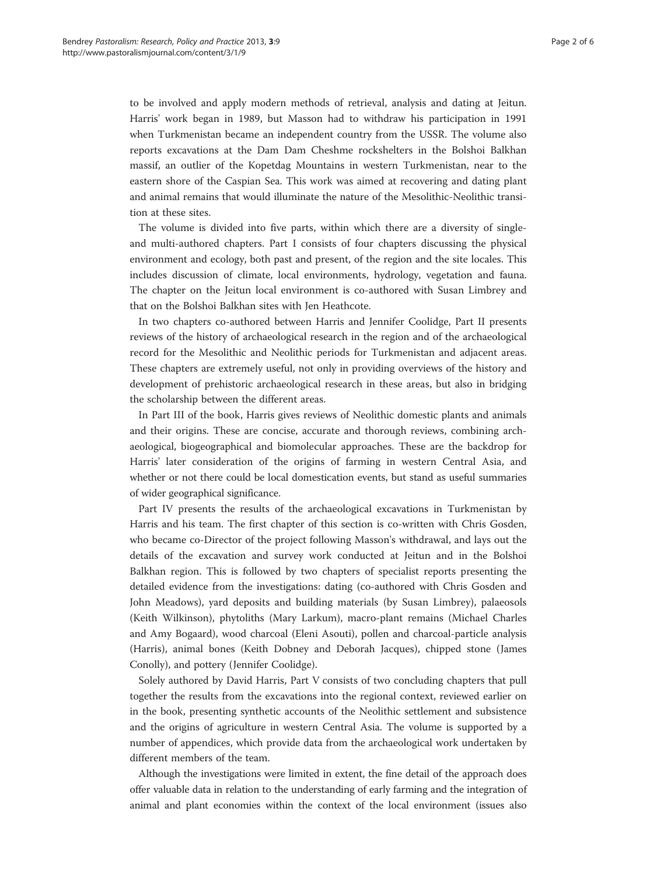to be involved and apply modern methods of retrieval, analysis and dating at Jeitun. Harris' work began in 1989, but Masson had to withdraw his participation in 1991 when Turkmenistan became an independent country from the USSR. The volume also reports excavations at the Dam Dam Cheshme rockshelters in the Bolshoi Balkhan massif, an outlier of the Kopetdag Mountains in western Turkmenistan, near to the eastern shore of the Caspian Sea. This work was aimed at recovering and dating plant and animal remains that would illuminate the nature of the Mesolithic-Neolithic transition at these sites.

The volume is divided into five parts, within which there are a diversity of singleand multi-authored chapters. Part I consists of four chapters discussing the physical environment and ecology, both past and present, of the region and the site locales. This includes discussion of climate, local environments, hydrology, vegetation and fauna. The chapter on the Jeitun local environment is co-authored with Susan Limbrey and that on the Bolshoi Balkhan sites with Jen Heathcote.

In two chapters co-authored between Harris and Jennifer Coolidge, Part II presents reviews of the history of archaeological research in the region and of the archaeological record for the Mesolithic and Neolithic periods for Turkmenistan and adjacent areas. These chapters are extremely useful, not only in providing overviews of the history and development of prehistoric archaeological research in these areas, but also in bridging the scholarship between the different areas.

In Part III of the book, Harris gives reviews of Neolithic domestic plants and animals and their origins. These are concise, accurate and thorough reviews, combining archaeological, biogeographical and biomolecular approaches. These are the backdrop for Harris' later consideration of the origins of farming in western Central Asia, and whether or not there could be local domestication events, but stand as useful summaries of wider geographical significance.

Part IV presents the results of the archaeological excavations in Turkmenistan by Harris and his team. The first chapter of this section is co-written with Chris Gosden, who became co-Director of the project following Masson's withdrawal, and lays out the details of the excavation and survey work conducted at Jeitun and in the Bolshoi Balkhan region. This is followed by two chapters of specialist reports presenting the detailed evidence from the investigations: dating (co-authored with Chris Gosden and John Meadows), yard deposits and building materials (by Susan Limbrey), palaeosols (Keith Wilkinson), phytoliths (Mary Larkum), macro-plant remains (Michael Charles and Amy Bogaard), wood charcoal (Eleni Asouti), pollen and charcoal-particle analysis (Harris), animal bones (Keith Dobney and Deborah Jacques), chipped stone (James Conolly), and pottery (Jennifer Coolidge).

Solely authored by David Harris, Part V consists of two concluding chapters that pull together the results from the excavations into the regional context, reviewed earlier on in the book, presenting synthetic accounts of the Neolithic settlement and subsistence and the origins of agriculture in western Central Asia. The volume is supported by a number of appendices, which provide data from the archaeological work undertaken by different members of the team.

Although the investigations were limited in extent, the fine detail of the approach does offer valuable data in relation to the understanding of early farming and the integration of animal and plant economies within the context of the local environment (issues also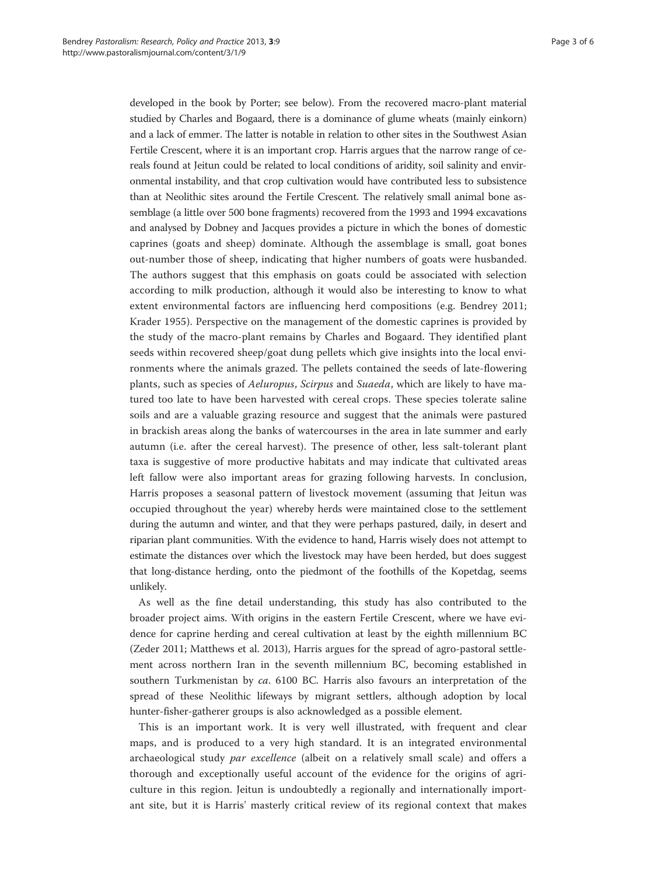developed in the book by Porter; see below). From the recovered macro-plant material studied by Charles and Bogaard, there is a dominance of glume wheats (mainly einkorn) and a lack of emmer. The latter is notable in relation to other sites in the Southwest Asian Fertile Crescent, where it is an important crop. Harris argues that the narrow range of cereals found at Jeitun could be related to local conditions of aridity, soil salinity and environmental instability, and that crop cultivation would have contributed less to subsistence than at Neolithic sites around the Fertile Crescent. The relatively small animal bone assemblage (a little over 500 bone fragments) recovered from the 1993 and 1994 excavations and analysed by Dobney and Jacques provides a picture in which the bones of domestic caprines (goats and sheep) dominate. Although the assemblage is small, goat bones out-number those of sheep, indicating that higher numbers of goats were husbanded. The authors suggest that this emphasis on goats could be associated with selection according to milk production, although it would also be interesting to know to what extent environmental factors are influencing herd compositions (e.g. Bendrey [2011](#page-5-0); Krader [1955](#page-5-0)). Perspective on the management of the domestic caprines is provided by the study of the macro-plant remains by Charles and Bogaard. They identified plant seeds within recovered sheep/goat dung pellets which give insights into the local environments where the animals grazed. The pellets contained the seeds of late-flowering plants, such as species of Aeluropus, Scirpus and Suaeda, which are likely to have matured too late to have been harvested with cereal crops. These species tolerate saline soils and are a valuable grazing resource and suggest that the animals were pastured in brackish areas along the banks of watercourses in the area in late summer and early autumn (i.e. after the cereal harvest). The presence of other, less salt-tolerant plant taxa is suggestive of more productive habitats and may indicate that cultivated areas left fallow were also important areas for grazing following harvests. In conclusion, Harris proposes a seasonal pattern of livestock movement (assuming that Jeitun was occupied throughout the year) whereby herds were maintained close to the settlement during the autumn and winter, and that they were perhaps pastured, daily, in desert and riparian plant communities. With the evidence to hand, Harris wisely does not attempt to estimate the distances over which the livestock may have been herded, but does suggest that long-distance herding, onto the piedmont of the foothills of the Kopetdag, seems unlikely.

As well as the fine detail understanding, this study has also contributed to the broader project aims. With origins in the eastern Fertile Crescent, where we have evidence for caprine herding and cereal cultivation at least by the eighth millennium BC (Zeder [2011](#page-5-0); Matthews et al. [2013\)](#page-5-0), Harris argues for the spread of agro-pastoral settlement across northern Iran in the seventh millennium BC, becoming established in southern Turkmenistan by ca. 6100 BC. Harris also favours an interpretation of the spread of these Neolithic lifeways by migrant settlers, although adoption by local hunter-fisher-gatherer groups is also acknowledged as a possible element.

This is an important work. It is very well illustrated, with frequent and clear maps, and is produced to a very high standard. It is an integrated environmental archaeological study par excellence (albeit on a relatively small scale) and offers a thorough and exceptionally useful account of the evidence for the origins of agriculture in this region. Jeitun is undoubtedly a regionally and internationally important site, but it is Harris' masterly critical review of its regional context that makes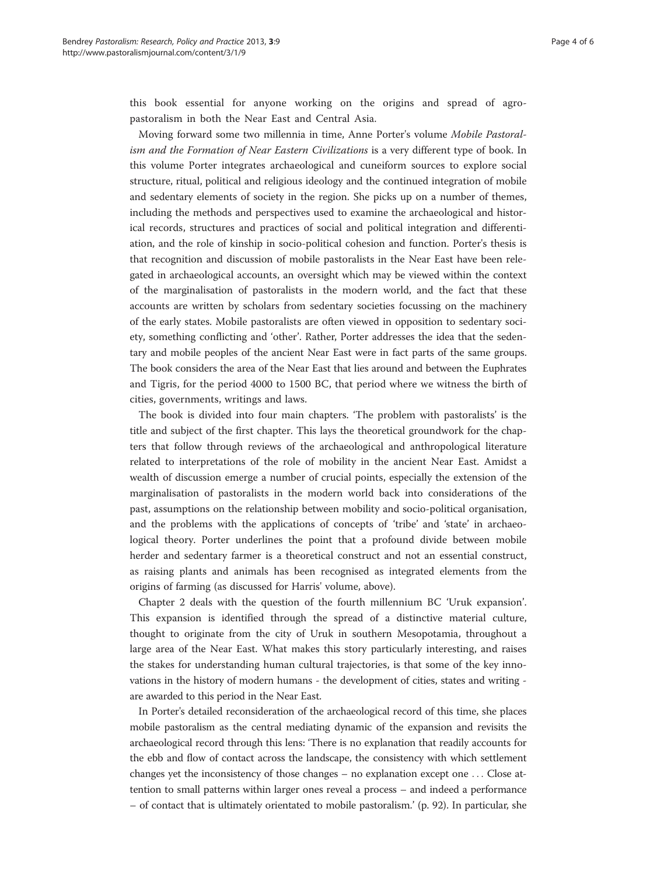this book essential for anyone working on the origins and spread of agropastoralism in both the Near East and Central Asia.

Moving forward some two millennia in time, Anne Porter's volume Mobile Pastoralism and the Formation of Near Eastern Civilizations is a very different type of book. In this volume Porter integrates archaeological and cuneiform sources to explore social structure, ritual, political and religious ideology and the continued integration of mobile and sedentary elements of society in the region. She picks up on a number of themes, including the methods and perspectives used to examine the archaeological and historical records, structures and practices of social and political integration and differentiation, and the role of kinship in socio-political cohesion and function. Porter's thesis is that recognition and discussion of mobile pastoralists in the Near East have been relegated in archaeological accounts, an oversight which may be viewed within the context of the marginalisation of pastoralists in the modern world, and the fact that these accounts are written by scholars from sedentary societies focussing on the machinery of the early states. Mobile pastoralists are often viewed in opposition to sedentary society, something conflicting and 'other'. Rather, Porter addresses the idea that the sedentary and mobile peoples of the ancient Near East were in fact parts of the same groups. The book considers the area of the Near East that lies around and between the Euphrates and Tigris, for the period 4000 to 1500 BC, that period where we witness the birth of cities, governments, writings and laws.

The book is divided into four main chapters. 'The problem with pastoralists' is the title and subject of the first chapter. This lays the theoretical groundwork for the chapters that follow through reviews of the archaeological and anthropological literature related to interpretations of the role of mobility in the ancient Near East. Amidst a wealth of discussion emerge a number of crucial points, especially the extension of the marginalisation of pastoralists in the modern world back into considerations of the past, assumptions on the relationship between mobility and socio-political organisation, and the problems with the applications of concepts of 'tribe' and 'state' in archaeological theory. Porter underlines the point that a profound divide between mobile herder and sedentary farmer is a theoretical construct and not an essential construct, as raising plants and animals has been recognised as integrated elements from the origins of farming (as discussed for Harris' volume, above).

Chapter 2 deals with the question of the fourth millennium BC 'Uruk expansion'. This expansion is identified through the spread of a distinctive material culture, thought to originate from the city of Uruk in southern Mesopotamia, throughout a large area of the Near East. What makes this story particularly interesting, and raises the stakes for understanding human cultural trajectories, is that some of the key innovations in the history of modern humans - the development of cities, states and writing are awarded to this period in the Near East.

In Porter's detailed reconsideration of the archaeological record of this time, she places mobile pastoralism as the central mediating dynamic of the expansion and revisits the archaeological record through this lens: 'There is no explanation that readily accounts for the ebb and flow of contact across the landscape, the consistency with which settlement changes yet the inconsistency of those changes – no explanation except one ... Close attention to small patterns within larger ones reveal a process – and indeed a performance – of contact that is ultimately orientated to mobile pastoralism.' (p. 92). In particular, she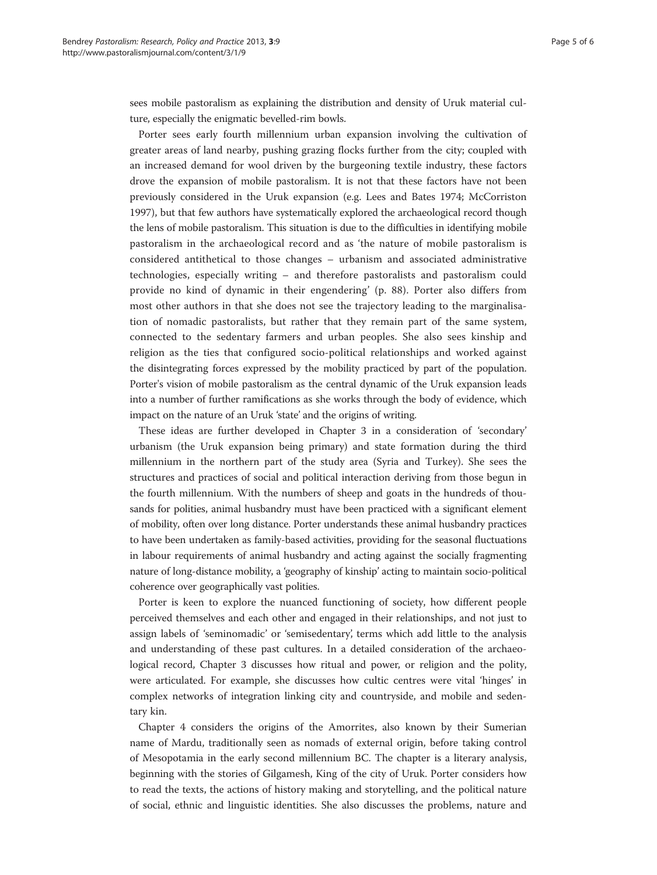sees mobile pastoralism as explaining the distribution and density of Uruk material culture, especially the enigmatic bevelled-rim bowls.

Porter sees early fourth millennium urban expansion involving the cultivation of greater areas of land nearby, pushing grazing flocks further from the city; coupled with an increased demand for wool driven by the burgeoning textile industry, these factors drove the expansion of mobile pastoralism. It is not that these factors have not been previously considered in the Uruk expansion (e.g. Lees and Bates [1974;](#page-5-0) McCorriston [1997](#page-5-0)), but that few authors have systematically explored the archaeological record though the lens of mobile pastoralism. This situation is due to the difficulties in identifying mobile pastoralism in the archaeological record and as 'the nature of mobile pastoralism is considered antithetical to those changes – urbanism and associated administrative technologies, especially writing – and therefore pastoralists and pastoralism could provide no kind of dynamic in their engendering' (p. 88). Porter also differs from most other authors in that she does not see the trajectory leading to the marginalisation of nomadic pastoralists, but rather that they remain part of the same system, connected to the sedentary farmers and urban peoples. She also sees kinship and religion as the ties that configured socio-political relationships and worked against the disintegrating forces expressed by the mobility practiced by part of the population. Porter's vision of mobile pastoralism as the central dynamic of the Uruk expansion leads into a number of further ramifications as she works through the body of evidence, which impact on the nature of an Uruk 'state' and the origins of writing.

These ideas are further developed in Chapter 3 in a consideration of 'secondary' urbanism (the Uruk expansion being primary) and state formation during the third millennium in the northern part of the study area (Syria and Turkey). She sees the structures and practices of social and political interaction deriving from those begun in the fourth millennium. With the numbers of sheep and goats in the hundreds of thousands for polities, animal husbandry must have been practiced with a significant element of mobility, often over long distance. Porter understands these animal husbandry practices to have been undertaken as family-based activities, providing for the seasonal fluctuations in labour requirements of animal husbandry and acting against the socially fragmenting nature of long-distance mobility, a 'geography of kinship' acting to maintain socio-political coherence over geographically vast polities.

Porter is keen to explore the nuanced functioning of society, how different people perceived themselves and each other and engaged in their relationships, and not just to assign labels of 'seminomadic' or 'semisedentary', terms which add little to the analysis and understanding of these past cultures. In a detailed consideration of the archaeological record, Chapter 3 discusses how ritual and power, or religion and the polity, were articulated. For example, she discusses how cultic centres were vital 'hinges' in complex networks of integration linking city and countryside, and mobile and sedentary kin.

Chapter 4 considers the origins of the Amorrites, also known by their Sumerian name of Mardu, traditionally seen as nomads of external origin, before taking control of Mesopotamia in the early second millennium BC. The chapter is a literary analysis, beginning with the stories of Gilgamesh, King of the city of Uruk. Porter considers how to read the texts, the actions of history making and storytelling, and the political nature of social, ethnic and linguistic identities. She also discusses the problems, nature and